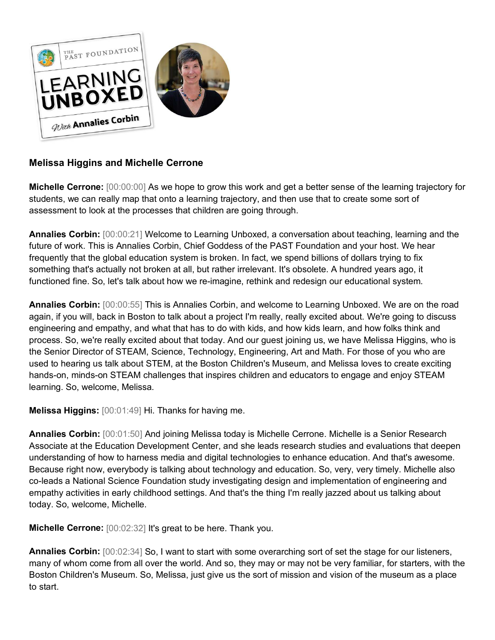

## **Melissa Higgins and Michelle Cerrone**

**Michelle Cerrone:** [00:00:00] As we hope to grow this work and get a better sense of the learning trajectory for students, we can really map that onto a learning trajectory, and then use that to create some sort of assessment to look at the processes that children are going through.

**Annalies Corbin:** [00:00:21] Welcome to Learning Unboxed, a conversation about teaching, learning and the future of work. This is Annalies Corbin, Chief Goddess of the PAST Foundation and your host. We hear frequently that the global education system is broken. In fact, we spend billions of dollars trying to fix something that's actually not broken at all, but rather irrelevant. It's obsolete. A hundred years ago, it functioned fine. So, let's talk about how we re-imagine, rethink and redesign our educational system.

**Annalies Corbin:** [00:00:55] This is Annalies Corbin, and welcome to Learning Unboxed. We are on the road again, if you will, back in Boston to talk about a project I'm really, really excited about. We're going to discuss engineering and empathy, and what that has to do with kids, and how kids learn, and how folks think and process. So, we're really excited about that today. And our guest joining us, we have Melissa Higgins, who is the Senior Director of STEAM, Science, Technology, Engineering, Art and Math. For those of you who are used to hearing us talk about STEM, at the Boston Children's Museum, and Melissa loves to create exciting hands-on, minds-on STEAM challenges that inspires children and educators to engage and enjoy STEAM learning. So, welcome, Melissa.

**Melissa Higgins:** [00:01:49] Hi. Thanks for having me.

**Annalies Corbin:** [00:01:50] And joining Melissa today is Michelle Cerrone. Michelle is a Senior Research Associate at the Education Development Center, and she leads research studies and evaluations that deepen understanding of how to harness media and digital technologies to enhance education. And that's awesome. Because right now, everybody is talking about technology and education. So, very, very timely. Michelle also co-leads a National Science Foundation study investigating design and implementation of engineering and empathy activities in early childhood settings. And that's the thing I'm really jazzed about us talking about today. So, welcome, Michelle.

**Michelle Cerrone:** [00:02:32] It's great to be here. Thank you.

**Annalies Corbin:** [00:02:34] So, I want to start with some overarching sort of set the stage for our listeners, many of whom come from all over the world. And so, they may or may not be very familiar, for starters, with the Boston Children's Museum. So, Melissa, just give us the sort of mission and vision of the museum as a place to start.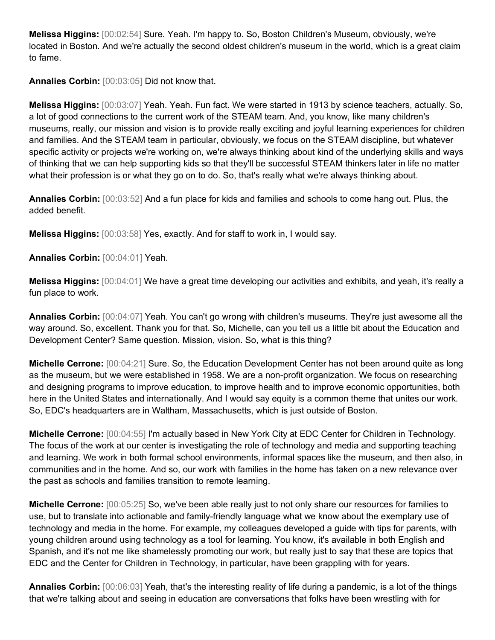**Melissa Higgins:** [00:02:54] Sure. Yeah. I'm happy to. So, Boston Children's Museum, obviously, we're located in Boston. And we're actually the second oldest children's museum in the world, which is a great claim to fame.

**Annalies Corbin:** [00:03:05] Did not know that.

**Melissa Higgins:** [00:03:07] Yeah. Yeah. Fun fact. We were started in 1913 by science teachers, actually. So, a lot of good connections to the current work of the STEAM team. And, you know, like many children's museums, really, our mission and vision is to provide really exciting and joyful learning experiences for children and families. And the STEAM team in particular, obviously, we focus on the STEAM discipline, but whatever specific activity or projects we're working on, we're always thinking about kind of the underlying skills and ways of thinking that we can help supporting kids so that they'll be successful STEAM thinkers later in life no matter what their profession is or what they go on to do. So, that's really what we're always thinking about.

**Annalies Corbin:** [00:03:52] And a fun place for kids and families and schools to come hang out. Plus, the added benefit.

**Melissa Higgins:** [00:03:58] Yes, exactly. And for staff to work in, I would say.

**Annalies Corbin:** [00:04:01] Yeah.

**Melissa Higgins:** [00:04:01] We have a great time developing our activities and exhibits, and yeah, it's really a fun place to work.

**Annalies Corbin:** [00:04:07] Yeah. You can't go wrong with children's museums. They're just awesome all the way around. So, excellent. Thank you for that. So, Michelle, can you tell us a little bit about the Education and Development Center? Same question. Mission, vision. So, what is this thing?

**Michelle Cerrone:** [00:04:21] Sure. So, the Education Development Center has not been around quite as long as the museum, but we were established in 1958. We are a non-profit organization. We focus on researching and designing programs to improve education, to improve health and to improve economic opportunities, both here in the United States and internationally. And I would say equity is a common theme that unites our work. So, EDC's headquarters are in Waltham, Massachusetts, which is just outside of Boston.

**Michelle Cerrone:** [00:04:55] I'm actually based in New York City at EDC Center for Children in Technology. The focus of the work at our center is investigating the role of technology and media and supporting teaching and learning. We work in both formal school environments, informal spaces like the museum, and then also, in communities and in the home. And so, our work with families in the home has taken on a new relevance over the past as schools and families transition to remote learning.

**Michelle Cerrone:** [00:05:25] So, we've been able really just to not only share our resources for families to use, but to translate into actionable and family-friendly language what we know about the exemplary use of technology and media in the home. For example, my colleagues developed a guide with tips for parents, with young children around using technology as a tool for learning. You know, it's available in both English and Spanish, and it's not me like shamelessly promoting our work, but really just to say that these are topics that EDC and the Center for Children in Technology, in particular, have been grappling with for years.

**Annalies Corbin:** [00:06:03] Yeah, that's the interesting reality of life during a pandemic, is a lot of the things that we're talking about and seeing in education are conversations that folks have been wrestling with for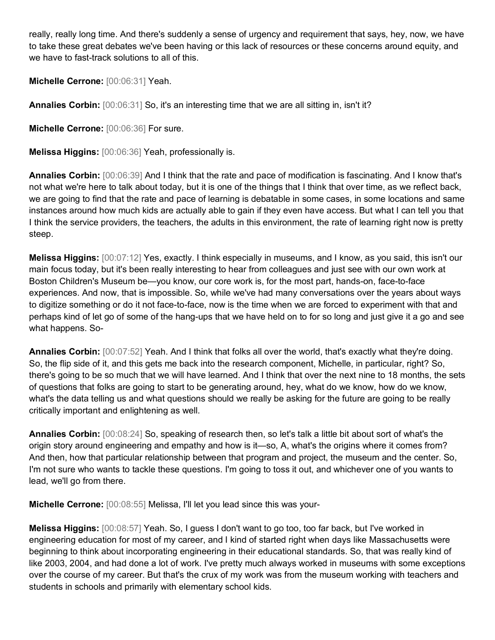really, really long time. And there's suddenly a sense of urgency and requirement that says, hey, now, we have to take these great debates we've been having or this lack of resources or these concerns around equity, and we have to fast-track solutions to all of this.

**Michelle Cerrone:** [00:06:31] Yeah.

**Annalies Corbin:** [00:06:31] So, it's an interesting time that we are all sitting in, isn't it?

**Michelle Cerrone:** [00:06:36] For sure.

**Melissa Higgins:** [00:06:36] Yeah, professionally is.

**Annalies Corbin:** [00:06:39] And I think that the rate and pace of modification is fascinating. And I know that's not what we're here to talk about today, but it is one of the things that I think that over time, as we reflect back, we are going to find that the rate and pace of learning is debatable in some cases, in some locations and same instances around how much kids are actually able to gain if they even have access. But what I can tell you that I think the service providers, the teachers, the adults in this environment, the rate of learning right now is pretty steep.

**Melissa Higgins:** [00:07:12] Yes, exactly. I think especially in museums, and I know, as you said, this isn't our main focus today, but it's been really interesting to hear from colleagues and just see with our own work at Boston Children's Museum be—you know, our core work is, for the most part, hands-on, face-to-face experiences. And now, that is impossible. So, while we've had many conversations over the years about ways to digitize something or do it not face-to-face, now is the time when we are forced to experiment with that and perhaps kind of let go of some of the hang-ups that we have held on to for so long and just give it a go and see what happens. So-

**Annalies Corbin:** [00:07:52] Yeah. And I think that folks all over the world, that's exactly what they're doing. So, the flip side of it, and this gets me back into the research component, Michelle, in particular, right? So, there's going to be so much that we will have learned. And I think that over the next nine to 18 months, the sets of questions that folks are going to start to be generating around, hey, what do we know, how do we know, what's the data telling us and what questions should we really be asking for the future are going to be really critically important and enlightening as well.

**Annalies Corbin:** [00:08:24] So, speaking of research then, so let's talk a little bit about sort of what's the origin story around engineering and empathy and how is it—so, A, what's the origins where it comes from? And then, how that particular relationship between that program and project, the museum and the center. So, I'm not sure who wants to tackle these questions. I'm going to toss it out, and whichever one of you wants to lead, we'll go from there.

**Michelle Cerrone:** [00:08:55] Melissa, I'll let you lead since this was your-

**Melissa Higgins:** [00:08:57] Yeah. So, I guess I don't want to go too, too far back, but I've worked in engineering education for most of my career, and I kind of started right when days like Massachusetts were beginning to think about incorporating engineering in their educational standards. So, that was really kind of like 2003, 2004, and had done a lot of work. I've pretty much always worked in museums with some exceptions over the course of my career. But that's the crux of my work was from the museum working with teachers and students in schools and primarily with elementary school kids.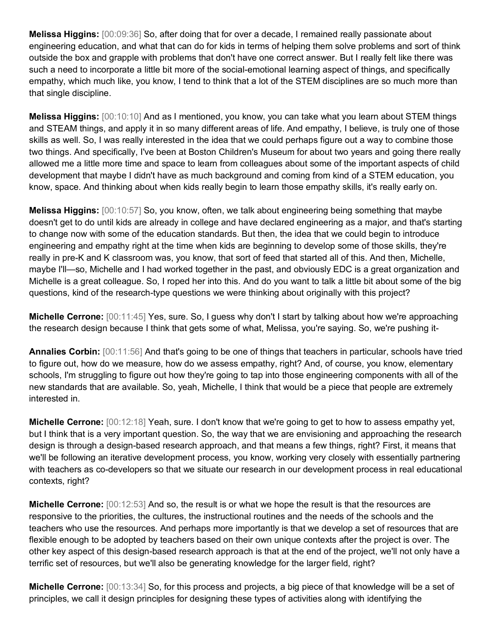**Melissa Higgins:** [00:09:36] So, after doing that for over a decade, I remained really passionate about engineering education, and what that can do for kids in terms of helping them solve problems and sort of think outside the box and grapple with problems that don't have one correct answer. But I really felt like there was such a need to incorporate a little bit more of the social-emotional learning aspect of things, and specifically empathy, which much like, you know, I tend to think that a lot of the STEM disciplines are so much more than that single discipline.

**Melissa Higgins:** [00:10:10] And as I mentioned, you know, you can take what you learn about STEM things and STEAM things, and apply it in so many different areas of life. And empathy, I believe, is truly one of those skills as well. So, I was really interested in the idea that we could perhaps figure out a way to combine those two things. And specifically, I've been at Boston Children's Museum for about two years and going there really allowed me a little more time and space to learn from colleagues about some of the important aspects of child development that maybe I didn't have as much background and coming from kind of a STEM education, you know, space. And thinking about when kids really begin to learn those empathy skills, it's really early on.

**Melissa Higgins:** [00:10:57] So, you know, often, we talk about engineering being something that maybe doesn't get to do until kids are already in college and have declared engineering as a major, and that's starting to change now with some of the education standards. But then, the idea that we could begin to introduce engineering and empathy right at the time when kids are beginning to develop some of those skills, they're really in pre-K and K classroom was, you know, that sort of feed that started all of this. And then, Michelle, maybe I'll—so, Michelle and I had worked together in the past, and obviously EDC is a great organization and Michelle is a great colleague. So, I roped her into this. And do you want to talk a little bit about some of the big questions, kind of the research-type questions we were thinking about originally with this project?

**Michelle Cerrone:** [00:11:45] Yes, sure. So, I guess why don't I start by talking about how we're approaching the research design because I think that gets some of what, Melissa, you're saying. So, we're pushing it-

**Annalies Corbin:** [00:11:56] And that's going to be one of things that teachers in particular, schools have tried to figure out, how do we measure, how do we assess empathy, right? And, of course, you know, elementary schools, I'm struggling to figure out how they're going to tap into those engineering components with all of the new standards that are available. So, yeah, Michelle, I think that would be a piece that people are extremely interested in.

**Michelle Cerrone:** [00:12:18] Yeah, sure. I don't know that we're going to get to how to assess empathy yet, but I think that is a very important question. So, the way that we are envisioning and approaching the research design is through a design-based research approach, and that means a few things, right? First, it means that we'll be following an iterative development process, you know, working very closely with essentially partnering with teachers as co-developers so that we situate our research in our development process in real educational contexts, right?

**Michelle Cerrone:** [00:12:53] And so, the result is or what we hope the result is that the resources are responsive to the priorities, the cultures, the instructional routines and the needs of the schools and the teachers who use the resources. And perhaps more importantly is that we develop a set of resources that are flexible enough to be adopted by teachers based on their own unique contexts after the project is over. The other key aspect of this design-based research approach is that at the end of the project, we'll not only have a terrific set of resources, but we'll also be generating knowledge for the larger field, right?

**Michelle Cerrone:** [00:13:34] So, for this process and projects, a big piece of that knowledge will be a set of principles, we call it design principles for designing these types of activities along with identifying the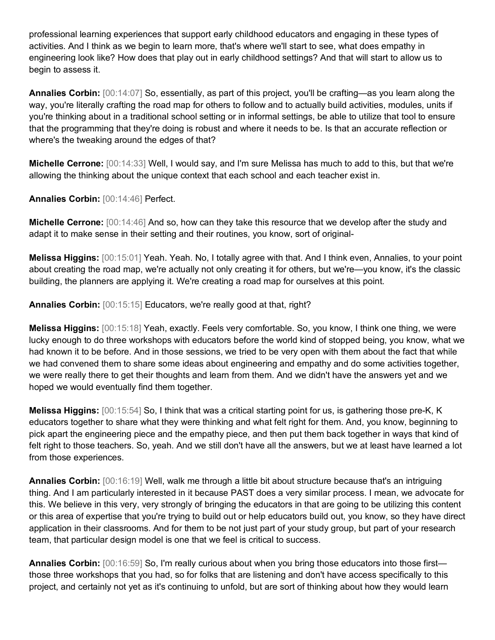professional learning experiences that support early childhood educators and engaging in these types of activities. And I think as we begin to learn more, that's where we'll start to see, what does empathy in engineering look like? How does that play out in early childhood settings? And that will start to allow us to begin to assess it.

**Annalies Corbin:** [00:14:07] So, essentially, as part of this project, you'll be crafting—as you learn along the way, you're literally crafting the road map for others to follow and to actually build activities, modules, units if you're thinking about in a traditional school setting or in informal settings, be able to utilize that tool to ensure that the programming that they're doing is robust and where it needs to be. Is that an accurate reflection or where's the tweaking around the edges of that?

**Michelle Cerrone:** [00:14:33] Well, I would say, and I'm sure Melissa has much to add to this, but that we're allowing the thinking about the unique context that each school and each teacher exist in.

**Annalies Corbin:** [00:14:46] Perfect.

**Michelle Cerrone:** [00:14:46] And so, how can they take this resource that we develop after the study and adapt it to make sense in their setting and their routines, you know, sort of original-

**Melissa Higgins:** [00:15:01] Yeah. Yeah. No, I totally agree with that. And I think even, Annalies, to your point about creating the road map, we're actually not only creating it for others, but we're—you know, it's the classic building, the planners are applying it. We're creating a road map for ourselves at this point.

**Annalies Corbin:** [00:15:15] Educators, we're really good at that, right?

**Melissa Higgins:** [00:15:18] Yeah, exactly. Feels very comfortable. So, you know, I think one thing, we were lucky enough to do three workshops with educators before the world kind of stopped being, you know, what we had known it to be before. And in those sessions, we tried to be very open with them about the fact that while we had convened them to share some ideas about engineering and empathy and do some activities together, we were really there to get their thoughts and learn from them. And we didn't have the answers yet and we hoped we would eventually find them together.

**Melissa Higgins:** [00:15:54] So, I think that was a critical starting point for us, is gathering those pre-K, K educators together to share what they were thinking and what felt right for them. And, you know, beginning to pick apart the engineering piece and the empathy piece, and then put them back together in ways that kind of felt right to those teachers. So, yeah. And we still don't have all the answers, but we at least have learned a lot from those experiences.

**Annalies Corbin:** [00:16:19] Well, walk me through a little bit about structure because that's an intriguing thing. And I am particularly interested in it because PAST does a very similar process. I mean, we advocate for this. We believe in this very, very strongly of bringing the educators in that are going to be utilizing this content or this area of expertise that you're trying to build out or help educators build out, you know, so they have direct application in their classrooms. And for them to be not just part of your study group, but part of your research team, that particular design model is one that we feel is critical to success.

**Annalies Corbin:** [00:16:59] So, I'm really curious about when you bring those educators into those first those three workshops that you had, so for folks that are listening and don't have access specifically to this project, and certainly not yet as it's continuing to unfold, but are sort of thinking about how they would learn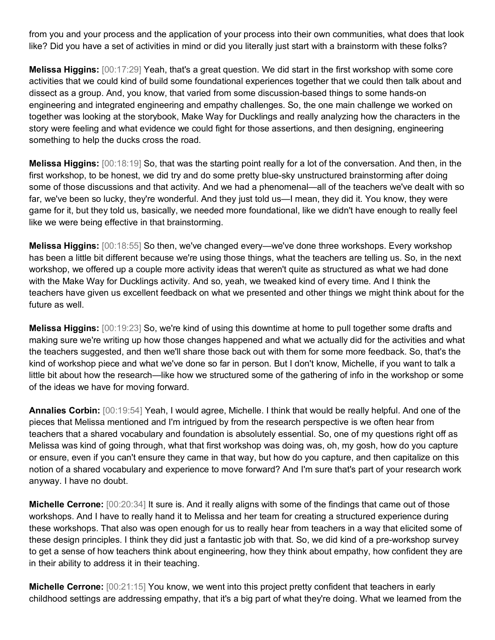from you and your process and the application of your process into their own communities, what does that look like? Did you have a set of activities in mind or did you literally just start with a brainstorm with these folks?

**Melissa Higgins:** [00:17:29] Yeah, that's a great question. We did start in the first workshop with some core activities that we could kind of build some foundational experiences together that we could then talk about and dissect as a group. And, you know, that varied from some discussion-based things to some hands-on engineering and integrated engineering and empathy challenges. So, the one main challenge we worked on together was looking at the storybook, Make Way for Ducklings and really analyzing how the characters in the story were feeling and what evidence we could fight for those assertions, and then designing, engineering something to help the ducks cross the road.

**Melissa Higgins:** [00:18:19] So, that was the starting point really for a lot of the conversation. And then, in the first workshop, to be honest, we did try and do some pretty blue-sky unstructured brainstorming after doing some of those discussions and that activity. And we had a phenomenal—all of the teachers we've dealt with so far, we've been so lucky, they're wonderful. And they just told us—I mean, they did it. You know, they were game for it, but they told us, basically, we needed more foundational, like we didn't have enough to really feel like we were being effective in that brainstorming.

**Melissa Higgins:** [00:18:55] So then, we've changed every—we've done three workshops. Every workshop has been a little bit different because we're using those things, what the teachers are telling us. So, in the next workshop, we offered up a couple more activity ideas that weren't quite as structured as what we had done with the Make Way for Ducklings activity. And so, yeah, we tweaked kind of every time. And I think the teachers have given us excellent feedback on what we presented and other things we might think about for the future as well.

**Melissa Higgins:** [00:19:23] So, we're kind of using this downtime at home to pull together some drafts and making sure we're writing up how those changes happened and what we actually did for the activities and what the teachers suggested, and then we'll share those back out with them for some more feedback. So, that's the kind of workshop piece and what we've done so far in person. But I don't know, Michelle, if you want to talk a little bit about how the research—like how we structured some of the gathering of info in the workshop or some of the ideas we have for moving forward.

**Annalies Corbin:** [00:19:54] Yeah, I would agree, Michelle. I think that would be really helpful. And one of the pieces that Melissa mentioned and I'm intrigued by from the research perspective is we often hear from teachers that a shared vocabulary and foundation is absolutely essential. So, one of my questions right off as Melissa was kind of going through, what that first workshop was doing was, oh, my gosh, how do you capture or ensure, even if you can't ensure they came in that way, but how do you capture, and then capitalize on this notion of a shared vocabulary and experience to move forward? And I'm sure that's part of your research work anyway. I have no doubt.

**Michelle Cerrone:** [00:20:34] It sure is. And it really aligns with some of the findings that came out of those workshops. And I have to really hand it to Melissa and her team for creating a structured experience during these workshops. That also was open enough for us to really hear from teachers in a way that elicited some of these design principles. I think they did just a fantastic job with that. So, we did kind of a pre-workshop survey to get a sense of how teachers think about engineering, how they think about empathy, how confident they are in their ability to address it in their teaching.

**Michelle Cerrone:**  $[00:21:15]$  You know, we went into this project pretty confident that teachers in early childhood settings are addressing empathy, that it's a big part of what they're doing. What we learned from the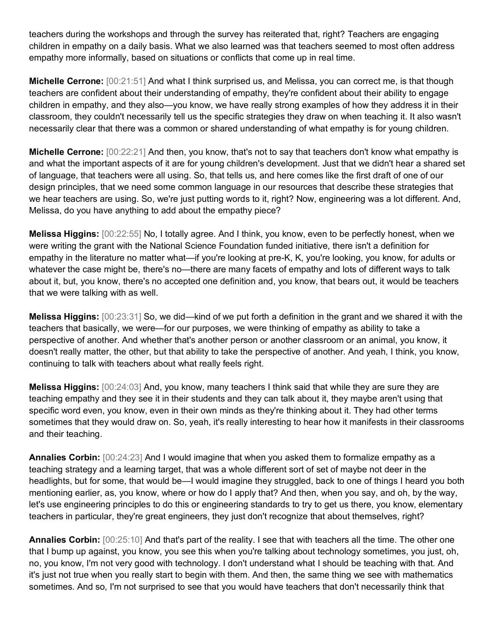teachers during the workshops and through the survey has reiterated that, right? Teachers are engaging children in empathy on a daily basis. What we also learned was that teachers seemed to most often address empathy more informally, based on situations or conflicts that come up in real time.

**Michelle Cerrone:** [00:21:51] And what I think surprised us, and Melissa, you can correct me, is that though teachers are confident about their understanding of empathy, they're confident about their ability to engage children in empathy, and they also—you know, we have really strong examples of how they address it in their classroom, they couldn't necessarily tell us the specific strategies they draw on when teaching it. It also wasn't necessarily clear that there was a common or shared understanding of what empathy is for young children.

**Michelle Cerrone:** [00:22:21] And then, you know, that's not to say that teachers don't know what empathy is and what the important aspects of it are for young children's development. Just that we didn't hear a shared set of language, that teachers were all using. So, that tells us, and here comes like the first draft of one of our design principles, that we need some common language in our resources that describe these strategies that we hear teachers are using. So, we're just putting words to it, right? Now, engineering was a lot different. And, Melissa, do you have anything to add about the empathy piece?

**Melissa Higgins:** [00:22:55] No, I totally agree. And I think, you know, even to be perfectly honest, when we were writing the grant with the National Science Foundation funded initiative, there isn't a definition for empathy in the literature no matter what—if you're looking at pre-K, K, you're looking, you know, for adults or whatever the case might be, there's no—there are many facets of empathy and lots of different ways to talk about it, but, you know, there's no accepted one definition and, you know, that bears out, it would be teachers that we were talking with as well.

**Melissa Higgins:** [00:23:31] So, we did—kind of we put forth a definition in the grant and we shared it with the teachers that basically, we were—for our purposes, we were thinking of empathy as ability to take a perspective of another. And whether that's another person or another classroom or an animal, you know, it doesn't really matter, the other, but that ability to take the perspective of another. And yeah, I think, you know, continuing to talk with teachers about what really feels right.

**Melissa Higgins:** [00:24:03] And, you know, many teachers I think said that while they are sure they are teaching empathy and they see it in their students and they can talk about it, they maybe aren't using that specific word even, you know, even in their own minds as they're thinking about it. They had other terms sometimes that they would draw on. So, yeah, it's really interesting to hear how it manifests in their classrooms and their teaching.

**Annalies Corbin:** [00:24:23] And I would imagine that when you asked them to formalize empathy as a teaching strategy and a learning target, that was a whole different sort of set of maybe not deer in the headlights, but for some, that would be—I would imagine they struggled, back to one of things I heard you both mentioning earlier, as, you know, where or how do I apply that? And then, when you say, and oh, by the way, let's use engineering principles to do this or engineering standards to try to get us there, you know, elementary teachers in particular, they're great engineers, they just don't recognize that about themselves, right?

**Annalies Corbin:** [00:25:10] And that's part of the reality. I see that with teachers all the time. The other one that I bump up against, you know, you see this when you're talking about technology sometimes, you just, oh, no, you know, I'm not very good with technology. I don't understand what I should be teaching with that. And it's just not true when you really start to begin with them. And then, the same thing we see with mathematics sometimes. And so, I'm not surprised to see that you would have teachers that don't necessarily think that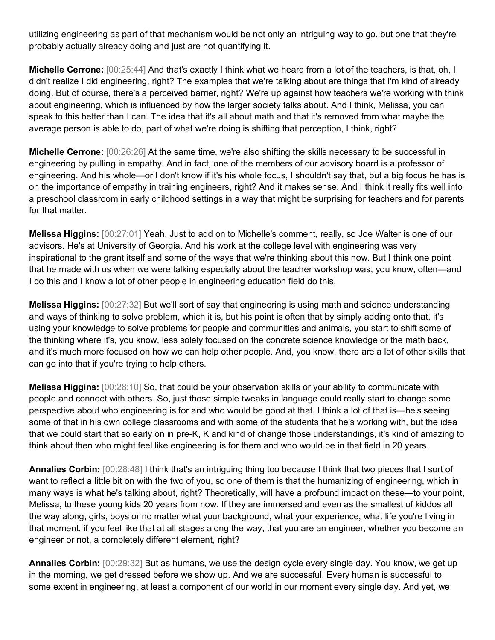utilizing engineering as part of that mechanism would be not only an intriguing way to go, but one that they're probably actually already doing and just are not quantifying it.

**Michelle Cerrone:** [00:25:44] And that's exactly I think what we heard from a lot of the teachers, is that, oh, I didn't realize I did engineering, right? The examples that we're talking about are things that I'm kind of already doing. But of course, there's a perceived barrier, right? We're up against how teachers we're working with think about engineering, which is influenced by how the larger society talks about. And I think, Melissa, you can speak to this better than I can. The idea that it's all about math and that it's removed from what maybe the average person is able to do, part of what we're doing is shifting that perception, I think, right?

**Michelle Cerrone:** [00:26:26] At the same time, we're also shifting the skills necessary to be successful in engineering by pulling in empathy. And in fact, one of the members of our advisory board is a professor of engineering. And his whole—or I don't know if it's his whole focus, I shouldn't say that, but a big focus he has is on the importance of empathy in training engineers, right? And it makes sense. And I think it really fits well into a preschool classroom in early childhood settings in a way that might be surprising for teachers and for parents for that matter.

**Melissa Higgins:** [00:27:01] Yeah. Just to add on to Michelle's comment, really, so Joe Walter is one of our advisors. He's at University of Georgia. And his work at the college level with engineering was very inspirational to the grant itself and some of the ways that we're thinking about this now. But I think one point that he made with us when we were talking especially about the teacher workshop was, you know, often—and I do this and I know a lot of other people in engineering education field do this.

**Melissa Higgins:** [00:27:32] But we'll sort of say that engineering is using math and science understanding and ways of thinking to solve problem, which it is, but his point is often that by simply adding onto that, it's using your knowledge to solve problems for people and communities and animals, you start to shift some of the thinking where it's, you know, less solely focused on the concrete science knowledge or the math back, and it's much more focused on how we can help other people. And, you know, there are a lot of other skills that can go into that if you're trying to help others.

**Melissa Higgins:** [00:28:10] So, that could be your observation skills or your ability to communicate with people and connect with others. So, just those simple tweaks in language could really start to change some perspective about who engineering is for and who would be good at that. I think a lot of that is—he's seeing some of that in his own college classrooms and with some of the students that he's working with, but the idea that we could start that so early on in pre-K, K and kind of change those understandings, it's kind of amazing to think about then who might feel like engineering is for them and who would be in that field in 20 years.

**Annalies Corbin:** [00:28:48] I think that's an intriguing thing too because I think that two pieces that I sort of want to reflect a little bit on with the two of you, so one of them is that the humanizing of engineering, which in many ways is what he's talking about, right? Theoretically, will have a profound impact on these—to your point, Melissa, to these young kids 20 years from now. If they are immersed and even as the smallest of kiddos all the way along, girls, boys or no matter what your background, what your experience, what life you're living in that moment, if you feel like that at all stages along the way, that you are an engineer, whether you become an engineer or not, a completely different element, right?

**Annalies Corbin:** [00:29:32] But as humans, we use the design cycle every single day. You know, we get up in the morning, we get dressed before we show up. And we are successful. Every human is successful to some extent in engineering, at least a component of our world in our moment every single day. And yet, we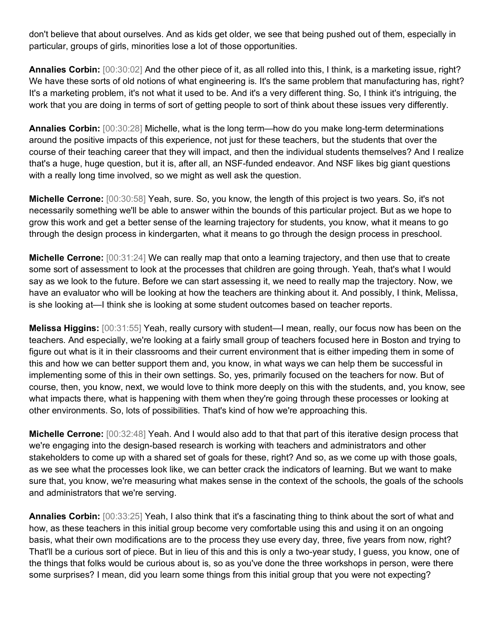don't believe that about ourselves. And as kids get older, we see that being pushed out of them, especially in particular, groups of girls, minorities lose a lot of those opportunities.

**Annalies Corbin:** [00:30:02] And the other piece of it, as all rolled into this, I think, is a marketing issue, right? We have these sorts of old notions of what engineering is. It's the same problem that manufacturing has, right? It's a marketing problem, it's not what it used to be. And it's a very different thing. So, I think it's intriguing, the work that you are doing in terms of sort of getting people to sort of think about these issues very differently.

**Annalies Corbin:** [00:30:28] Michelle, what is the long term—how do you make long-term determinations around the positive impacts of this experience, not just for these teachers, but the students that over the course of their teaching career that they will impact, and then the individual students themselves? And I realize that's a huge, huge question, but it is, after all, an NSF-funded endeavor. And NSF likes big giant questions with a really long time involved, so we might as well ask the question.

**Michelle Cerrone:** [00:30:58] Yeah, sure. So, you know, the length of this project is two years. So, it's not necessarily something we'll be able to answer within the bounds of this particular project. But as we hope to grow this work and get a better sense of the learning trajectory for students, you know, what it means to go through the design process in kindergarten, what it means to go through the design process in preschool.

**Michelle Cerrone:** [00:31:24] We can really map that onto a learning trajectory, and then use that to create some sort of assessment to look at the processes that children are going through. Yeah, that's what I would say as we look to the future. Before we can start assessing it, we need to really map the trajectory. Now, we have an evaluator who will be looking at how the teachers are thinking about it. And possibly, I think, Melissa, is she looking at—I think she is looking at some student outcomes based on teacher reports.

**Melissa Higgins:** [00:31:55] Yeah, really cursory with student—I mean, really, our focus now has been on the teachers. And especially, we're looking at a fairly small group of teachers focused here in Boston and trying to figure out what is it in their classrooms and their current environment that is either impeding them in some of this and how we can better support them and, you know, in what ways we can help them be successful in implementing some of this in their own settings. So, yes, primarily focused on the teachers for now. But of course, then, you know, next, we would love to think more deeply on this with the students, and, you know, see what impacts there, what is happening with them when they're going through these processes or looking at other environments. So, lots of possibilities. That's kind of how we're approaching this.

**Michelle Cerrone:** [00:32:48] Yeah. And I would also add to that that part of this iterative design process that we're engaging into the design-based research is working with teachers and administrators and other stakeholders to come up with a shared set of goals for these, right? And so, as we come up with those goals, as we see what the processes look like, we can better crack the indicators of learning. But we want to make sure that, you know, we're measuring what makes sense in the context of the schools, the goals of the schools and administrators that we're serving.

**Annalies Corbin:** [00:33:25] Yeah, I also think that it's a fascinating thing to think about the sort of what and how, as these teachers in this initial group become very comfortable using this and using it on an ongoing basis, what their own modifications are to the process they use every day, three, five years from now, right? That'll be a curious sort of piece. But in lieu of this and this is only a two-year study, I guess, you know, one of the things that folks would be curious about is, so as you've done the three workshops in person, were there some surprises? I mean, did you learn some things from this initial group that you were not expecting?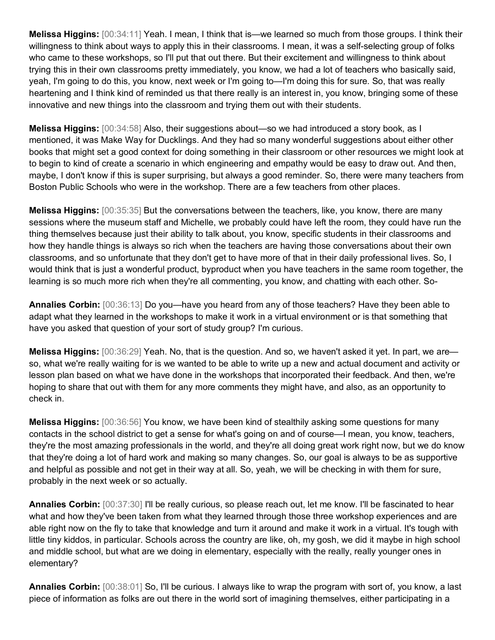**Melissa Higgins:** [00:34:11] Yeah. I mean, I think that is—we learned so much from those groups. I think their willingness to think about ways to apply this in their classrooms. I mean, it was a self-selecting group of folks who came to these workshops, so I'll put that out there. But their excitement and willingness to think about trying this in their own classrooms pretty immediately, you know, we had a lot of teachers who basically said, yeah, I'm going to do this, you know, next week or I'm going to—I'm doing this for sure. So, that was really heartening and I think kind of reminded us that there really is an interest in, you know, bringing some of these innovative and new things into the classroom and trying them out with their students.

**Melissa Higgins:** [00:34:58] Also, their suggestions about—so we had introduced a story book, as I mentioned, it was Make Way for Ducklings. And they had so many wonderful suggestions about either other books that might set a good context for doing something in their classroom or other resources we might look at to begin to kind of create a scenario in which engineering and empathy would be easy to draw out. And then, maybe, I don't know if this is super surprising, but always a good reminder. So, there were many teachers from Boston Public Schools who were in the workshop. There are a few teachers from other places.

**Melissa Higgins:** [00:35:35] But the conversations between the teachers, like, you know, there are many sessions where the museum staff and Michelle, we probably could have left the room, they could have run the thing themselves because just their ability to talk about, you know, specific students in their classrooms and how they handle things is always so rich when the teachers are having those conversations about their own classrooms, and so unfortunate that they don't get to have more of that in their daily professional lives. So, I would think that is just a wonderful product, byproduct when you have teachers in the same room together, the learning is so much more rich when they're all commenting, you know, and chatting with each other. So-

**Annalies Corbin:** [00:36:13] Do you—have you heard from any of those teachers? Have they been able to adapt what they learned in the workshops to make it work in a virtual environment or is that something that have you asked that question of your sort of study group? I'm curious.

**Melissa Higgins:** [00:36:29] Yeah. No, that is the question. And so, we haven't asked it yet. In part, we are so, what we're really waiting for is we wanted to be able to write up a new and actual document and activity or lesson plan based on what we have done in the workshops that incorporated their feedback. And then, we're hoping to share that out with them for any more comments they might have, and also, as an opportunity to check in.

**Melissa Higgins:** [00:36:56] You know, we have been kind of stealthily asking some questions for many contacts in the school district to get a sense for what's going on and of course—I mean, you know, teachers, they're the most amazing professionals in the world, and they're all doing great work right now, but we do know that they're doing a lot of hard work and making so many changes. So, our goal is always to be as supportive and helpful as possible and not get in their way at all. So, yeah, we will be checking in with them for sure, probably in the next week or so actually.

**Annalies Corbin:** [00:37:30] I'll be really curious, so please reach out, let me know. I'll be fascinated to hear what and how they've been taken from what they learned through those three workshop experiences and are able right now on the fly to take that knowledge and turn it around and make it work in a virtual. It's tough with little tiny kiddos, in particular. Schools across the country are like, oh, my gosh, we did it maybe in high school and middle school, but what are we doing in elementary, especially with the really, really younger ones in elementary?

**Annalies Corbin:** [00:38:01] So, I'll be curious. I always like to wrap the program with sort of, you know, a last piece of information as folks are out there in the world sort of imagining themselves, either participating in a